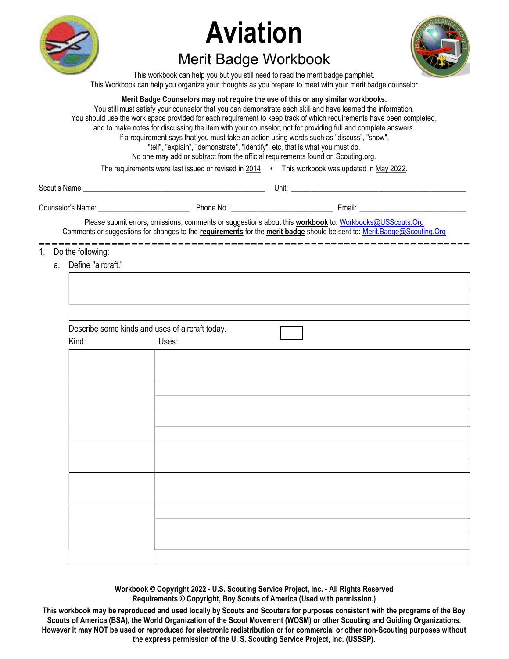

## Aviation

## Merit Badge Workbook



This workbook can help you but you still need to read the merit badge pamphlet. This Workbook can help you organize your thoughts as you prepare to meet with your merit badge counselor

## Merit Badge Counselors may not require the use of this or any similar workbooks.

You still must satisfy your counselor that you can demonstrate each skill and have learned the information. You should use the work space provided for each requirement to keep track of which requirements have been completed, and to make notes for discussing the item with your counselor, not for providing full and complete answers. If a requirement says that you must take an action using words such as "discuss", "show", "tell", "explain", "demonstrate", "identify", etc, that is what you must do. No one may add or subtract from the official requirements found on Scouting.org.

The requirements were last issued or revised in  $2014 \cdot$  This workbook was updated in May 2022.

| Scout's Name:     |            | Unit:                                                                                                   |  |
|-------------------|------------|---------------------------------------------------------------------------------------------------------|--|
| Counselor's Name: | Phone No.: | Email:                                                                                                  |  |
|                   |            | Disser adductionally controlled comments of concertains about this medidical declined to AUAA code. And |  |

Please submit errors, omissions, comments or suggestions about this **workbook** to: Workbooks@USScouts.Org Comments or suggestions for changes to the requirements for the merit badge should be sent to: Merit.Badge@Scouting.Org

## 1. Do the following:

a. Define "aircraft."

| Define "aircraft." |                                                 |  |  |  |
|--------------------|-------------------------------------------------|--|--|--|
|                    |                                                 |  |  |  |
|                    |                                                 |  |  |  |
|                    |                                                 |  |  |  |
|                    |                                                 |  |  |  |
|                    | Describe some kinds and uses of aircraft today. |  |  |  |
| Kind:              | Uses:                                           |  |  |  |
|                    |                                                 |  |  |  |
|                    |                                                 |  |  |  |
|                    |                                                 |  |  |  |
|                    |                                                 |  |  |  |
|                    |                                                 |  |  |  |
|                    |                                                 |  |  |  |
|                    |                                                 |  |  |  |
|                    |                                                 |  |  |  |
|                    |                                                 |  |  |  |
|                    |                                                 |  |  |  |
|                    |                                                 |  |  |  |
|                    |                                                 |  |  |  |
|                    |                                                 |  |  |  |
|                    |                                                 |  |  |  |
|                    |                                                 |  |  |  |

Workbook © Copyright 2022 - U.S. Scouting Service Project, Inc. - All Rights Reserved Requirements © Copyright, Boy Scouts of America (Used with permission.)

This workbook may be reproduced and used locally by Scouts and Scouters for purposes consistent with the programs of the Boy Scouts of America (BSA), the World Organization of the Scout Movement (WOSM) or other Scouting and Guiding Organizations. However it may NOT be used or reproduced for electronic redistribution or for commercial or other non-Scouting purposes without the express permission of the U. S. Scouting Service Project, Inc. (USSSP).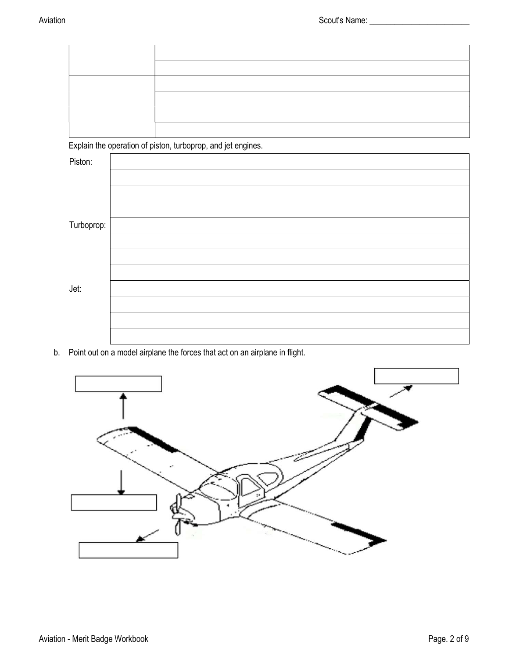Explain the operation of piston, turboprop, and jet engines.

| $\sim$     | $\sim$<br>$\sim$<br>$\overline{\phantom{a}}$<br>- |
|------------|---------------------------------------------------|
| Piston:    |                                                   |
|            |                                                   |
|            |                                                   |
|            |                                                   |
| Turboprop: |                                                   |
|            |                                                   |
|            |                                                   |
|            |                                                   |
| Jet:       |                                                   |
|            |                                                   |
|            |                                                   |
|            |                                                   |

b. Point out on a model airplane the forces that act on an airplane in flight.

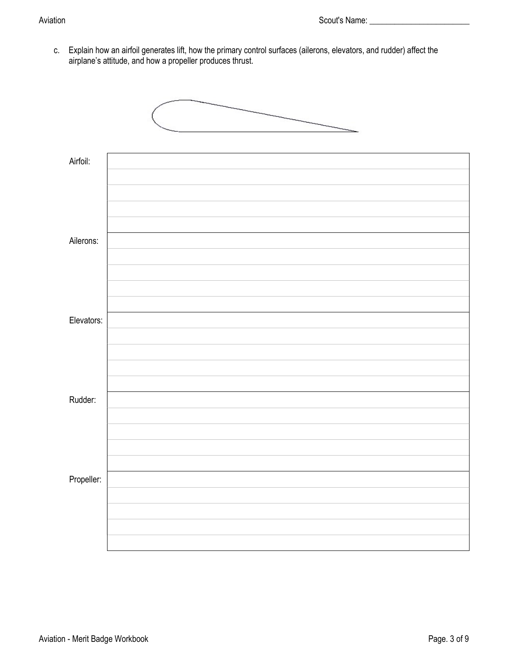c. Explain how an airfoil generates lift, how the primary control surfaces (ailerons, elevators, and rudder) affect the airplane's attitude, and how a propeller produces thrust.

| Airfoil:   |  |
|------------|--|
| Ailerons:  |  |
| Elevators: |  |
| Rudder:    |  |
| Propeller: |  |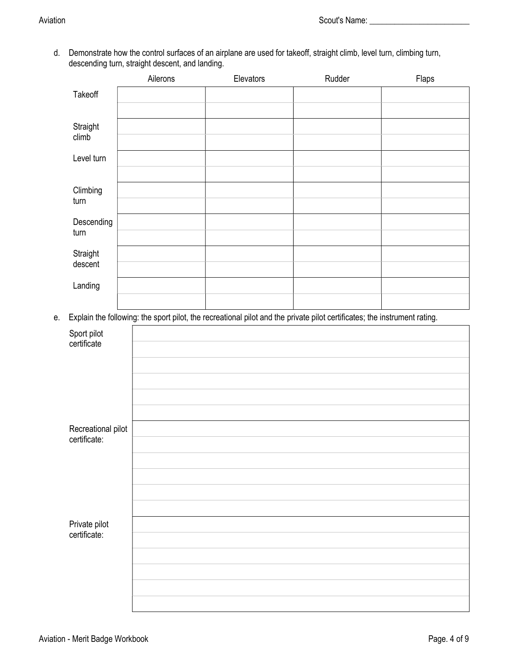d. Demonstrate how the control surfaces of an airplane are used for takeoff, straight climb, level turn, climbing turn, descending turn, straight descent, and landing.

|    |                            | Ailerons | Elevators                                                                                                                 | Rudder | Flaps |
|----|----------------------------|----------|---------------------------------------------------------------------------------------------------------------------------|--------|-------|
|    | Takeoff                    |          |                                                                                                                           |        |       |
|    | Straight<br>climb          |          |                                                                                                                           |        |       |
|    | Level turn                 |          |                                                                                                                           |        |       |
|    | Climbing<br>turn           |          |                                                                                                                           |        |       |
|    | Descending<br>turn         |          |                                                                                                                           |        |       |
|    | Straight<br>descent        |          |                                                                                                                           |        |       |
|    | Landing                    |          |                                                                                                                           |        |       |
| e. |                            |          | Explain the following: the sport pilot, the recreational pilot and the private pilot certificates; the instrument rating. |        |       |
|    |                            |          |                                                                                                                           |        |       |
|    | Sport pilot<br>certificate |          |                                                                                                                           |        |       |
|    |                            |          |                                                                                                                           |        |       |
|    |                            |          |                                                                                                                           |        |       |
|    |                            |          |                                                                                                                           |        |       |
|    | Recreational pilot         |          |                                                                                                                           |        |       |
|    | certificate:               |          |                                                                                                                           |        |       |
|    |                            |          |                                                                                                                           |        |       |
|    |                            |          |                                                                                                                           |        |       |
|    |                            |          |                                                                                                                           |        |       |
|    | Private pilot              |          |                                                                                                                           |        |       |
|    | certificate:               |          |                                                                                                                           |        |       |
|    |                            |          |                                                                                                                           |        |       |
|    |                            |          |                                                                                                                           |        |       |
|    |                            |          |                                                                                                                           |        |       |
|    |                            |          |                                                                                                                           |        |       |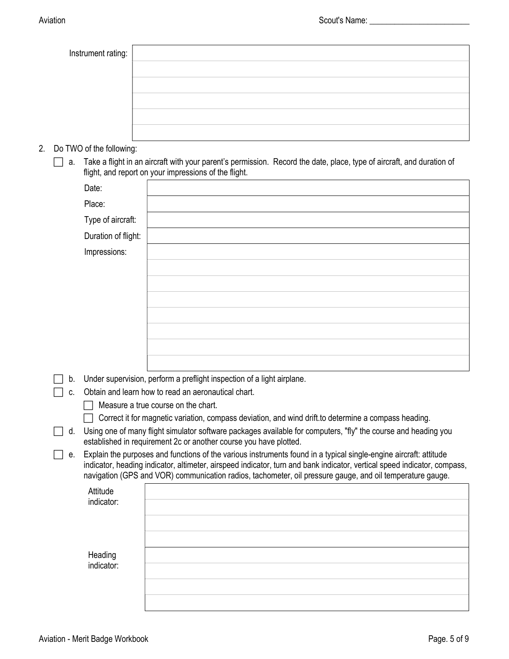| Instrument rating:          |                                                                                                                                                                                   |
|-----------------------------|-----------------------------------------------------------------------------------------------------------------------------------------------------------------------------------|
|                             |                                                                                                                                                                                   |
|                             |                                                                                                                                                                                   |
|                             |                                                                                                                                                                                   |
|                             |                                                                                                                                                                                   |
|                             |                                                                                                                                                                                   |
| 2. Do TWO of the following: |                                                                                                                                                                                   |
|                             | a. Take a flight in an aircraft with your parent's permission. Record the date, place, type of aircraft, and duration of<br>flight, and report on your impressions of the flight. |

|    | Date:               |                                                                        |
|----|---------------------|------------------------------------------------------------------------|
|    | Place:              |                                                                        |
|    | Type of aircraft:   |                                                                        |
|    | Duration of flight: |                                                                        |
|    | Impressions:        |                                                                        |
|    |                     |                                                                        |
|    |                     |                                                                        |
|    |                     |                                                                        |
|    |                     |                                                                        |
|    |                     |                                                                        |
|    |                     |                                                                        |
|    |                     |                                                                        |
| b. |                     | Under supervision, perform a preflight inspection of a light airplane. |

 $\Box$  c. Obtain and learn how to read an aeronautical chart.

 $\Box$  Measure a true course on the chart.

Correct it for magnetic variation, compass deviation, and wind drift.to determine a compass heading.

 $\Box$  d. Using one of many flight simulator software packages available for computers, "fly" the course and heading you established in requirement 2c or another course you have plotted.

 $\Box$  e. Explain the purposes and functions of the various instruments found in a typical single-engine aircraft: attitude indicator, heading indicator, altimeter, airspeed indicator, turn and bank indicator, vertical speed indicator, compass, navigation (GPS and VOR) communication radios, tachometer, oil pressure gauge, and oil temperature gauge.

| Attitude<br>indicator: |  |
|------------------------|--|
|                        |  |
| Heading<br>indicator:  |  |
|                        |  |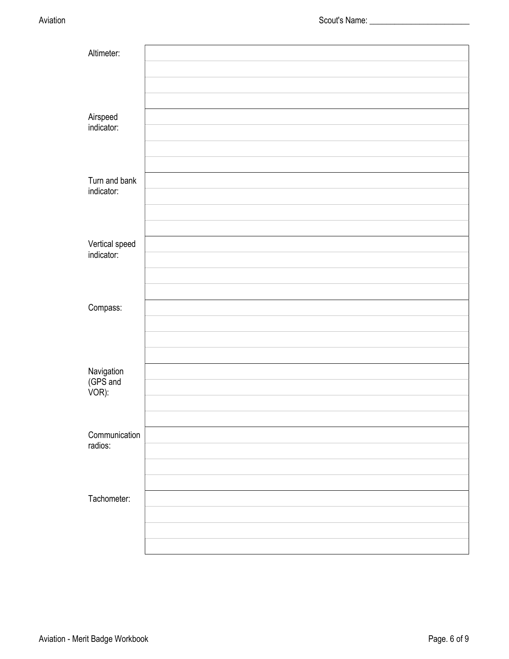| Altimeter:                      |  |
|---------------------------------|--|
|                                 |  |
|                                 |  |
|                                 |  |
| Airspeed<br>indicator:          |  |
|                                 |  |
|                                 |  |
| Turn and bank                   |  |
| indicator:                      |  |
|                                 |  |
|                                 |  |
| Vertical speed<br>indicator:    |  |
|                                 |  |
|                                 |  |
| Compass:                        |  |
|                                 |  |
|                                 |  |
|                                 |  |
| Navigation<br>(GPS and<br>VOR): |  |
|                                 |  |
|                                 |  |
| Communication                   |  |
| radios:                         |  |
|                                 |  |
| Tachometer:                     |  |
|                                 |  |
|                                 |  |
|                                 |  |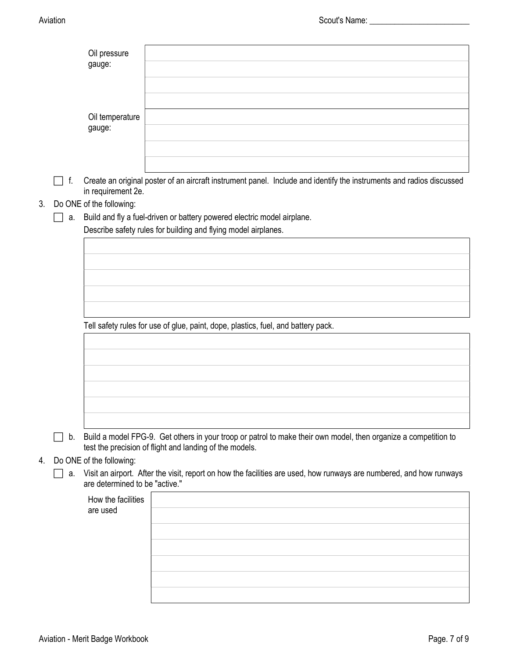|    |    | Oil pressure                   |                                                                                                                                                                               |
|----|----|--------------------------------|-------------------------------------------------------------------------------------------------------------------------------------------------------------------------------|
|    |    | gauge:                         |                                                                                                                                                                               |
|    |    |                                |                                                                                                                                                                               |
|    |    |                                |                                                                                                                                                                               |
|    |    | Oil temperature<br>gauge:      |                                                                                                                                                                               |
|    |    |                                |                                                                                                                                                                               |
|    |    |                                |                                                                                                                                                                               |
|    | f. | in requirement 2e.             | Create an original poster of an aircraft instrument panel. Include and identify the instruments and radios discussed                                                          |
| 3. |    | Do ONE of the following:       |                                                                                                                                                                               |
|    | а. |                                | Build and fly a fuel-driven or battery powered electric model airplane.<br>Describe safety rules for building and flying model airplanes.                                     |
|    |    |                                |                                                                                                                                                                               |
|    |    |                                |                                                                                                                                                                               |
|    |    |                                |                                                                                                                                                                               |
|    |    |                                |                                                                                                                                                                               |
|    |    |                                |                                                                                                                                                                               |
|    |    |                                | Tell safety rules for use of glue, paint, dope, plastics, fuel, and battery pack.                                                                                             |
|    |    |                                |                                                                                                                                                                               |
|    |    |                                |                                                                                                                                                                               |
|    |    |                                |                                                                                                                                                                               |
|    |    |                                |                                                                                                                                                                               |
|    |    |                                |                                                                                                                                                                               |
|    |    |                                |                                                                                                                                                                               |
|    |    |                                | b. Build a model FPG-9. Get others in your troop or patrol to make their own model, then organize a competition to<br>test the precision of flight and landing of the models. |
| 4. |    | Do ONE of the following:       |                                                                                                                                                                               |
|    | а. | are determined to be "active." | Visit an airport. After the visit, report on how the facilities are used, how runways are numbered, and how runways                                                           |
|    |    | How the facilities             |                                                                                                                                                                               |
|    |    | are used                       |                                                                                                                                                                               |
|    |    |                                |                                                                                                                                                                               |
|    |    |                                |                                                                                                                                                                               |
|    |    |                                |                                                                                                                                                                               |
|    |    |                                |                                                                                                                                                                               |
|    |    |                                |                                                                                                                                                                               |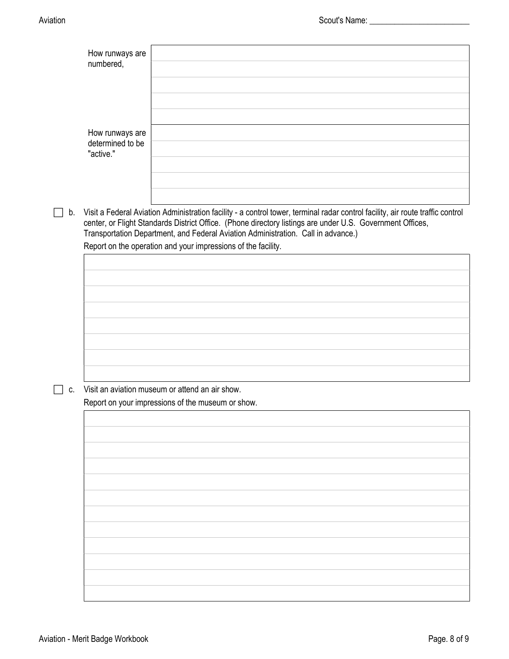|    | How runways are<br>numbered,                     |                                                                                                                                                                                                                                                                                                                                                                                                   |
|----|--------------------------------------------------|---------------------------------------------------------------------------------------------------------------------------------------------------------------------------------------------------------------------------------------------------------------------------------------------------------------------------------------------------------------------------------------------------|
|    | How runways are<br>determined to be<br>"active." |                                                                                                                                                                                                                                                                                                                                                                                                   |
| b. |                                                  | Visit a Federal Aviation Administration facility - a control tower, terminal radar control facility, air route traffic control<br>center, or Flight Standards District Office. (Phone directory listings are under U.S. Government Offices,<br>Transportation Department, and Federal Aviation Administration. Call in advance.)<br>Report on the operation and your impressions of the facility. |
|    |                                                  |                                                                                                                                                                                                                                                                                                                                                                                                   |
|    |                                                  |                                                                                                                                                                                                                                                                                                                                                                                                   |
|    |                                                  |                                                                                                                                                                                                                                                                                                                                                                                                   |
|    |                                                  |                                                                                                                                                                                                                                                                                                                                                                                                   |
|    |                                                  |                                                                                                                                                                                                                                                                                                                                                                                                   |
|    |                                                  |                                                                                                                                                                                                                                                                                                                                                                                                   |
|    |                                                  |                                                                                                                                                                                                                                                                                                                                                                                                   |
| C. |                                                  | Visit an aviation museum or attend an air show.                                                                                                                                                                                                                                                                                                                                                   |
|    |                                                  | Report on your impressions of the museum or show.                                                                                                                                                                                                                                                                                                                                                 |
|    |                                                  |                                                                                                                                                                                                                                                                                                                                                                                                   |
|    |                                                  |                                                                                                                                                                                                                                                                                                                                                                                                   |
|    |                                                  |                                                                                                                                                                                                                                                                                                                                                                                                   |
|    |                                                  |                                                                                                                                                                                                                                                                                                                                                                                                   |
|    |                                                  |                                                                                                                                                                                                                                                                                                                                                                                                   |
|    |                                                  |                                                                                                                                                                                                                                                                                                                                                                                                   |
|    |                                                  |                                                                                                                                                                                                                                                                                                                                                                                                   |
|    |                                                  |                                                                                                                                                                                                                                                                                                                                                                                                   |
|    |                                                  |                                                                                                                                                                                                                                                                                                                                                                                                   |
|    |                                                  |                                                                                                                                                                                                                                                                                                                                                                                                   |
|    |                                                  |                                                                                                                                                                                                                                                                                                                                                                                                   |